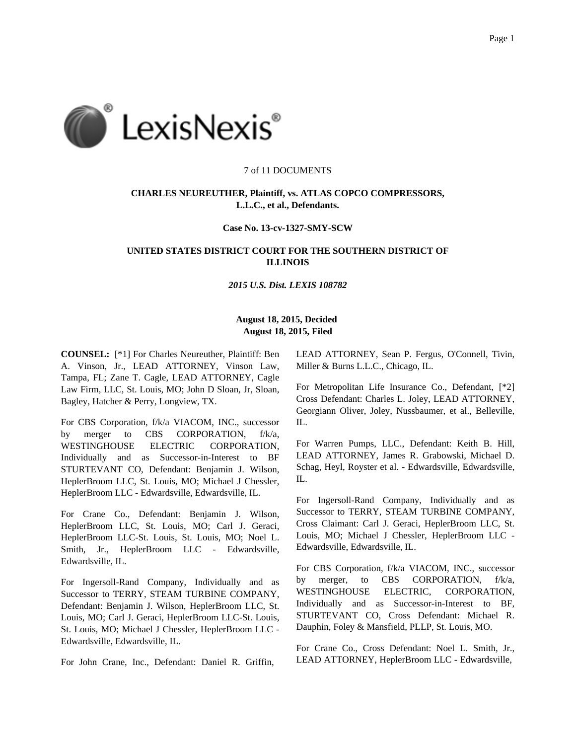

## 7 of 11 DOCUMENTS

# **CHARLES NEUREUTHER, Plaintiff, vs. ATLAS COPCO COMPRESSORS, L.L.C., et al., Defendants.**

## **Case No. 13-cv-1327-SMY-SCW**

# **UNITED STATES DISTRICT COURT FOR THE SOUTHERN DISTRICT OF ILLINOIS**

#### *2015 U.S. Dist. LEXIS 108782*

# **August 18, 2015, Decided August 18, 2015, Filed**

**COUNSEL:** [\*1] For Charles Neureuther, Plaintiff: Ben A. Vinson, Jr., LEAD ATTORNEY, Vinson Law, Tampa, FL; Zane T. Cagle, LEAD ATTORNEY, Cagle Law Firm, LLC, St. Louis, MO; John D Sloan, Jr, Sloan, Bagley, Hatcher & Perry, Longview, TX.

For CBS Corporation, f/k/a VIACOM, INC., successor by merger to CBS CORPORATION, f/k/a, WESTINGHOUSE ELECTRIC CORPORATION, Individually and as Successor-in-Interest to BF STURTEVANT CO, Defendant: Benjamin J. Wilson, HeplerBroom LLC, St. Louis, MO; Michael J Chessler, HeplerBroom LLC - Edwardsville, Edwardsville, IL.

For Crane Co., Defendant: Benjamin J. Wilson, HeplerBroom LLC, St. Louis, MO; Carl J. Geraci, HeplerBroom LLC-St. Louis, St. Louis, MO; Noel L. Smith, Jr., HeplerBroom LLC - Edwardsville, Edwardsville, IL.

For Ingersoll-Rand Company, Individually and as Successor to TERRY, STEAM TURBINE COMPANY, Defendant: Benjamin J. Wilson, HeplerBroom LLC, St. Louis, MO; Carl J. Geraci, HeplerBroom LLC-St. Louis, St. Louis, MO; Michael J Chessler, HeplerBroom LLC - Edwardsville, Edwardsville, IL.

For John Crane, Inc., Defendant: Daniel R. Griffin,

LEAD ATTORNEY, Sean P. Fergus, O'Connell, Tivin, Miller & Burns L.L.C., Chicago, IL.

For Metropolitan Life Insurance Co., Defendant, [\*2] Cross Defendant: Charles L. Joley, LEAD ATTORNEY, Georgiann Oliver, Joley, Nussbaumer, et al., Belleville, IL.

For Warren Pumps, LLC., Defendant: Keith B. Hill, LEAD ATTORNEY, James R. Grabowski, Michael D. Schag, Heyl, Royster et al. - Edwardsville, Edwardsville, IL.

For Ingersoll-Rand Company, Individually and as Successor to TERRY, STEAM TURBINE COMPANY, Cross Claimant: Carl J. Geraci, HeplerBroom LLC, St. Louis, MO; Michael J Chessler, HeplerBroom LLC - Edwardsville, Edwardsville, IL.

For CBS Corporation, f/k/a VIACOM, INC., successor by merger, to CBS CORPORATION, f/k/a, WESTINGHOUSE ELECTRIC, CORPORATION, Individually and as Successor-in-Interest to BF, STURTEVANT CO, Cross Defendant: Michael R. Dauphin, Foley & Mansfield, PLLP, St. Louis, MO.

For Crane Co., Cross Defendant: Noel L. Smith, Jr., LEAD ATTORNEY, HeplerBroom LLC - Edwardsville,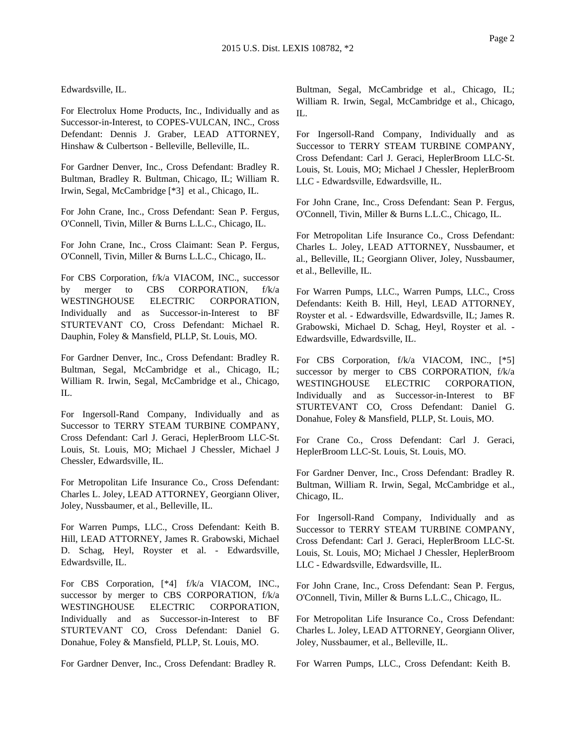Edwardsville, IL.

For Electrolux Home Products, Inc., Individually and as Successor-in-Interest, to COPES-VULCAN, INC., Cross Defendant: Dennis J. Graber, LEAD ATTORNEY, Hinshaw & Culbertson - Belleville, Belleville, IL.

For Gardner Denver, Inc., Cross Defendant: Bradley R. Bultman, Bradley R. Bultman, Chicago, IL; William R. Irwin, Segal, McCambridge [\*3] et al., Chicago, IL.

For John Crane, Inc., Cross Defendant: Sean P. Fergus, O'Connell, Tivin, Miller & Burns L.L.C., Chicago, IL.

For John Crane, Inc., Cross Claimant: Sean P. Fergus, O'Connell, Tivin, Miller & Burns L.L.C., Chicago, IL.

For CBS Corporation, f/k/a VIACOM, INC., successor by merger to CBS CORPORATION, f/k/a WESTINGHOUSE ELECTRIC CORPORATION, Individually and as Successor-in-Interest to BF STURTEVANT CO, Cross Defendant: Michael R. Dauphin, Foley & Mansfield, PLLP, St. Louis, MO.

For Gardner Denver, Inc., Cross Defendant: Bradley R. Bultman, Segal, McCambridge et al., Chicago, IL; William R. Irwin, Segal, McCambridge et al., Chicago, IL.

For Ingersoll-Rand Company, Individually and as Successor to TERRY STEAM TURBINE COMPANY, Cross Defendant: Carl J. Geraci, HeplerBroom LLC-St. Louis, St. Louis, MO; Michael J Chessler, Michael J Chessler, Edwardsville, IL.

For Metropolitan Life Insurance Co., Cross Defendant: Charles L. Joley, LEAD ATTORNEY, Georgiann Oliver, Joley, Nussbaumer, et al., Belleville, IL.

For Warren Pumps, LLC., Cross Defendant: Keith B. Hill, LEAD ATTORNEY, James R. Grabowski, Michael D. Schag, Heyl, Royster et al. - Edwardsville, Edwardsville, IL.

For CBS Corporation, [\*4] f/k/a VIACOM, INC., successor by merger to CBS CORPORATION, f/k/a WESTINGHOUSE ELECTRIC CORPORATION, Individually and as Successor-in-Interest to BF STURTEVANT CO, Cross Defendant: Daniel G. Donahue, Foley & Mansfield, PLLP, St. Louis, MO.

For Gardner Denver, Inc., Cross Defendant: Bradley R.

Bultman, Segal, McCambridge et al., Chicago, IL; William R. Irwin, Segal, McCambridge et al., Chicago, IL.

For Ingersoll-Rand Company, Individually and as Successor to TERRY STEAM TURBINE COMPANY, Cross Defendant: Carl J. Geraci, HeplerBroom LLC-St. Louis, St. Louis, MO; Michael J Chessler, HeplerBroom LLC - Edwardsville, Edwardsville, IL.

For John Crane, Inc., Cross Defendant: Sean P. Fergus, O'Connell, Tivin, Miller & Burns L.L.C., Chicago, IL.

For Metropolitan Life Insurance Co., Cross Defendant: Charles L. Joley, LEAD ATTORNEY, Nussbaumer, et al., Belleville, IL; Georgiann Oliver, Joley, Nussbaumer, et al., Belleville, IL.

For Warren Pumps, LLC., Warren Pumps, LLC., Cross Defendants: Keith B. Hill, Heyl, LEAD ATTORNEY, Royster et al. - Edwardsville, Edwardsville, IL; James R. Grabowski, Michael D. Schag, Heyl, Royster et al. - Edwardsville, Edwardsville, IL.

For CBS Corporation,  $f/k/a$  VIACOM, INC., [\*5] successor by merger to CBS CORPORATION, f/k/a WESTINGHOUSE ELECTRIC CORPORATION, Individually and as Successor-in-Interest to BF STURTEVANT CO, Cross Defendant: Daniel G. Donahue, Foley & Mansfield, PLLP, St. Louis, MO.

For Crane Co., Cross Defendant: Carl J. Geraci, HeplerBroom LLC-St. Louis, St. Louis, MO.

For Gardner Denver, Inc., Cross Defendant: Bradley R. Bultman, William R. Irwin, Segal, McCambridge et al., Chicago, IL.

For Ingersoll-Rand Company, Individually and as Successor to TERRY STEAM TURBINE COMPANY, Cross Defendant: Carl J. Geraci, HeplerBroom LLC-St. Louis, St. Louis, MO; Michael J Chessler, HeplerBroom LLC - Edwardsville, Edwardsville, IL.

For John Crane, Inc., Cross Defendant: Sean P. Fergus, O'Connell, Tivin, Miller & Burns L.L.C., Chicago, IL.

For Metropolitan Life Insurance Co., Cross Defendant: Charles L. Joley, LEAD ATTORNEY, Georgiann Oliver, Joley, Nussbaumer, et al., Belleville, IL.

For Warren Pumps, LLC., Cross Defendant: Keith B.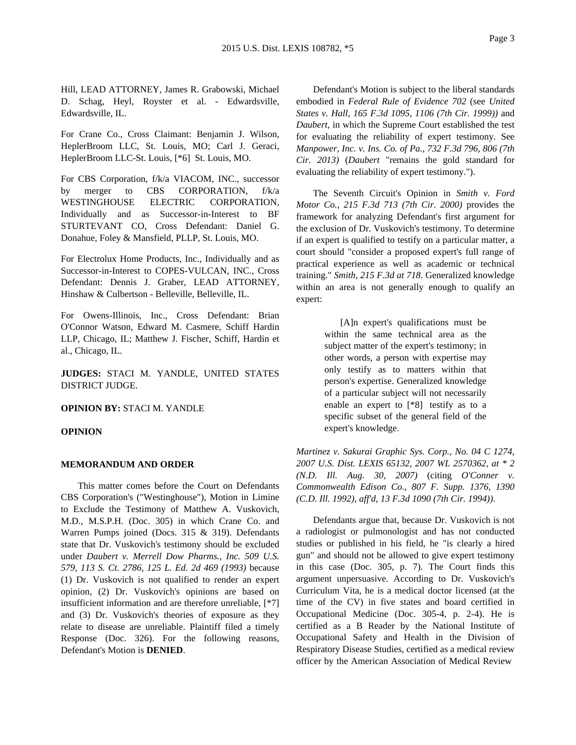Hill, LEAD ATTORNEY, James R. Grabowski, Michael D. Schag, Heyl, Royster et al. - Edwardsville, Edwardsville, IL.

For Crane Co., Cross Claimant: Benjamin J. Wilson, HeplerBroom LLC, St. Louis, MO; Carl J. Geraci, HeplerBroom LLC-St. Louis, [\*6] St. Louis, MO.

For CBS Corporation, f/k/a VIACOM, INC., successor by merger to CBS CORPORATION, f/k/a WESTINGHOUSE ELECTRIC CORPORATION, Individually and as Successor-in-Interest to BF STURTEVANT CO, Cross Defendant: Daniel G. Donahue, Foley & Mansfield, PLLP, St. Louis, MO.

For Electrolux Home Products, Inc., Individually and as Successor-in-Interest to COPES-VULCAN, INC., Cross Defendant: Dennis J. Graber, LEAD ATTORNEY, Hinshaw & Culbertson - Belleville, Belleville, IL.

For Owens-Illinois, Inc., Cross Defendant: Brian O'Connor Watson, Edward M. Casmere, Schiff Hardin LLP, Chicago, IL; Matthew J. Fischer, Schiff, Hardin et al., Chicago, IL.

**JUDGES:** STACI M. YANDLE, UNITED STATES DISTRICT JUDGE.

**OPINION BY:** STACI M. YANDLE

#### **OPINION**

## **MEMORANDUM AND ORDER**

This matter comes before the Court on Defendants CBS Corporation's ("Westinghouse"), Motion in Limine to Exclude the Testimony of Matthew A. Vuskovich, M.D., M.S.P.H. (Doc. 305) in which Crane Co. and Warren Pumps joined (Docs. 315 & 319). Defendants state that Dr. Vuskovich's testimony should be excluded under *Daubert v. Merrell Dow Pharms., Inc. 509 U.S. 579, 113 S. Ct. 2786, 125 L. Ed. 2d 469 (1993)* because (1) Dr. Vuskovich is not qualified to render an expert opinion, (2) Dr. Vuskovich's opinions are based on insufficient information and are therefore unreliable, [\*7] and (3) Dr. Vuskovich's theories of exposure as they relate to disease are unreliable. Plaintiff filed a timely Response (Doc. 326). For the following reasons, Defendant's Motion is **DENIED**.

Defendant's Motion is subject to the liberal standards embodied in *Federal Rule of Evidence 702* (see *United States v. Hall, 165 F.3d 1095, 1106 (7th Cir. 1999))* and *Daubert*, in which the Supreme Court established the test for evaluating the reliability of expert testimony. See *Manpower, Inc. v. Ins. Co. of Pa., 732 F.3d 796, 806 (7th Cir. 2013)* (*Daubert* "remains the gold standard for evaluating the reliability of expert testimony.").

The Seventh Circuit's Opinion in *Smith v. Ford Motor Co., 215 F.3d 713 (7th Cir. 2000)* provides the framework for analyzing Defendant's first argument for the exclusion of Dr. Vuskovich's testimony. To determine if an expert is qualified to testify on a particular matter, a court should "consider a proposed expert's full range of practical experience as well as academic or technical training." *Smith, 215 F.3d at 718*. Generalized knowledge within an area is not generally enough to qualify an expert:

> [A]n expert's qualifications must be within the same technical area as the subject matter of the expert's testimony; in other words, a person with expertise may only testify as to matters within that person's expertise. Generalized knowledge of a particular subject will not necessarily enable an expert to [\*8] testify as to a specific subset of the general field of the expert's knowledge.

*Martinez v. Sakurai Graphic Sys. Corp., No. 04 C 1274, 2007 U.S. Dist. LEXIS 65132, 2007 WL 2570362, at \* 2 (N.D. Ill. Aug. 30, 2007)* (citing *O'Conner v. Commonwealth Edison Co., 807 F. Supp. 1376, 1390 (C.D. Ill. 1992)*, *aff'd*, *13 F.3d 1090 (7th Cir. 1994))*.

Defendants argue that, because Dr. Vuskovich is not a radiologist or pulmonologist and has not conducted studies or published in his field, he "is clearly a hired gun" and should not be allowed to give expert testimony in this case (Doc. 305, p. 7). The Court finds this argument unpersuasive. According to Dr. Vuskovich's Curriculum Vita, he is a medical doctor licensed (at the time of the CV) in five states and board certified in Occupational Medicine (Doc. 305-4, p. 2-4). He is certified as a B Reader by the National Institute of Occupational Safety and Health in the Division of Respiratory Disease Studies, certified as a medical review officer by the American Association of Medical Review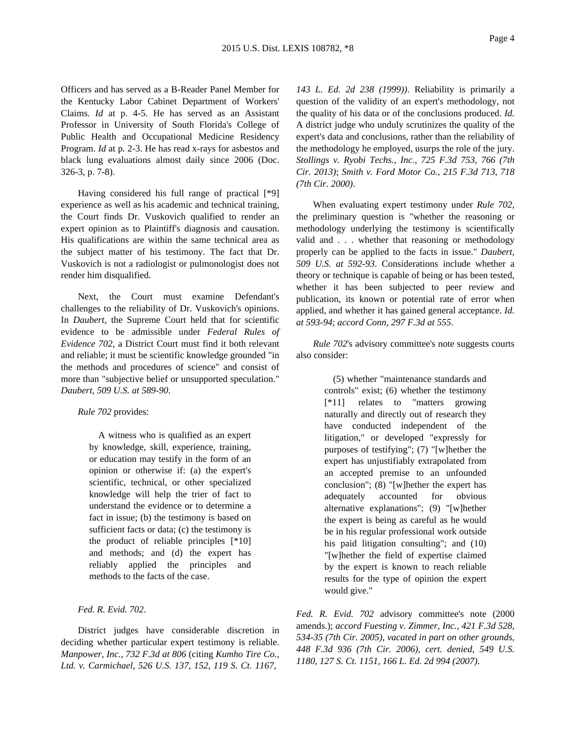Officers and has served as a B-Reader Panel Member for the Kentucky Labor Cabinet Department of Workers' Claims. *Id* at p. 4-5. He has served as an Assistant Professor in University of South Florida's College of Public Health and Occupational Medicine Residency Program. *Id* at p. 2-3. He has read x-rays for asbestos and black lung evaluations almost daily since 2006 (Doc. 326-3, p. 7-8).

Having considered his full range of practical [\*9] experience as well as his academic and technical training, the Court finds Dr. Vuskovich qualified to render an expert opinion as to Plaintiff's diagnosis and causation. His qualifications are within the same technical area as the subject matter of his testimony. The fact that Dr. Vuskovich is not a radiologist or pulmonologist does not render him disqualified.

Next, the Court must examine Defendant's challenges to the reliability of Dr. Vuskovich's opinions. In *Daubert*, the Supreme Court held that for scientific evidence to be admissible under *Federal Rules of Evidence 702*, a District Court must find it both relevant and reliable; it must be scientific knowledge grounded "in the methods and procedures of science" and consist of more than "subjective belief or unsupported speculation." *Daubert, 509 U.S. at 589-90*.

*Rule 702* provides:

A witness who is qualified as an expert by knowledge, skill, experience, training, or education may testify in the form of an opinion or otherwise if: (a) the expert's scientific, technical, or other specialized knowledge will help the trier of fact to understand the evidence or to determine a fact in issue; (b) the testimony is based on sufficient facts or data; (c) the testimony is the product of reliable principles [\*10] and methods; and (d) the expert has reliably applied the principles and methods to the facts of the case.

*Fed. R. Evid. 702*.

District judges have considerable discretion in deciding whether particular expert testimony is reliable. *Manpower, Inc., 732 F.3d at 806* (citing *Kumho Tire Co., Ltd. v. Carmichael, 526 U.S. 137, 152, 119 S. Ct. 1167,*

*143 L. Ed. 2d 238 (1999))*. Reliability is primarily a question of the validity of an expert's methodology, not the quality of his data or of the conclusions produced. *Id.* A district judge who unduly scrutinizes the quality of the expert's data and conclusions, rather than the reliability of the methodology he employed, usurps the role of the jury. *Stollings v. Ryobi Techs., Inc., 725 F.3d 753, 766 (7th Cir. 2013)*; *Smith v. Ford Motor Co., 215 F.3d 713, 718 (7th Cir. 2000)*.

When evaluating expert testimony under *Rule 702*, the preliminary question is "whether the reasoning or methodology underlying the testimony is scientifically valid and . . . whether that reasoning or methodology properly can be applied to the facts in issue." *Daubert, 509 U.S. at 592-93*. Considerations include whether a theory or technique is capable of being or has been tested, whether it has been subjected to peer review and publication, its known or potential rate of error when applied, and whether it has gained general acceptance. *Id. at 593-94*; *accord Conn, 297 F.3d at 555*.

*Rule 702*'s advisory committee's note suggests courts also consider:

> (5) whether "maintenance standards and controls" exist; (6) whether the testimony [\*11] relates to "matters growing naturally and directly out of research they have conducted independent of the litigation," or developed "expressly for purposes of testifying"; (7) "[w]hether the expert has unjustifiably extrapolated from an accepted premise to an unfounded conclusion"; (8) "[w]hether the expert has adequately accounted for obvious alternative explanations"; (9) "[w]hether the expert is being as careful as he would be in his regular professional work outside his paid litigation consulting"; and (10) "[w]hether the field of expertise claimed by the expert is known to reach reliable results for the type of opinion the expert would give."

*Fed. R. Evid. 702* advisory committee's note (2000 amends.); *accord Fuesting v. Zimmer, Inc., 421 F.3d 528, 534-35 (7th Cir. 2005)*, *vacated in part on other grounds*, *448 F.3d 936 (7th Cir. 2006)*, *cert. denied*, *549 U.S. 1180, 127 S. Ct. 1151, 166 L. Ed. 2d 994 (2007)*.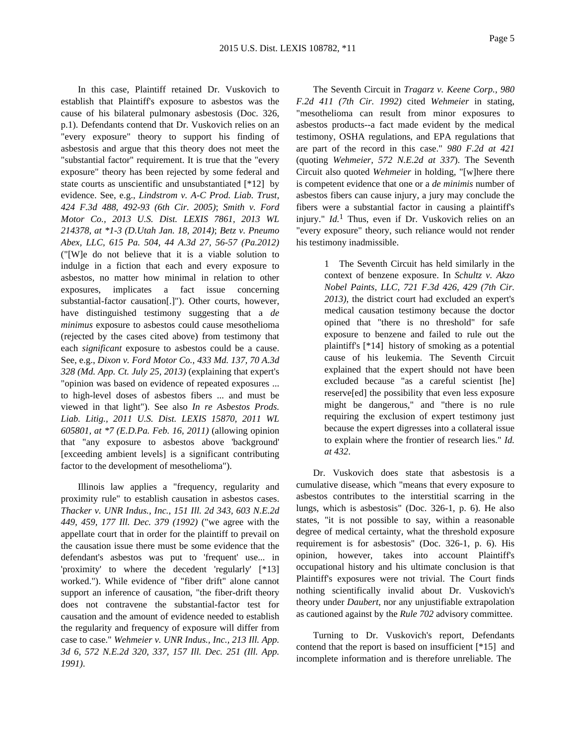In this case, Plaintiff retained Dr. Vuskovich to establish that Plaintiff's exposure to asbestos was the cause of his bilateral pulmonary asbestosis (Doc. 326, p.1). Defendants contend that Dr. Vuskovich relies on an "every exposure" theory to support his finding of asbestosis and argue that this theory does not meet the "substantial factor" requirement. It is true that the "every exposure" theory has been rejected by some federal and state courts as unscientific and unsubstantiated [\*12] by evidence. See, e.g., *Lindstrom v. A-C Prod. Liab. Trust, 424 F.3d 488, 492-93 (6th Cir. 2005)*; *Smith v. Ford Motor Co., 2013 U.S. Dist. LEXIS 7861, 2013 WL 214378, at \*1-3 (D.Utah Jan. 18, 2014)*; *Betz v. Pneumo Abex, LLC, 615 Pa. 504, 44 A.3d 27, 56-57 (Pa.2012)* ("[W]e do not believe that it is a viable solution to indulge in a fiction that each and every exposure to asbestos, no matter how minimal in relation to other exposures, implicates a fact issue concerning substantial-factor causation[.]"). Other courts, however, have distinguished testimony suggesting that a *de minimus* exposure to asbestos could cause mesothelioma (rejected by the cases cited above) from testimony that each *significant* exposure to asbestos could be a cause. See, e.g., *Dixon v. Ford Motor Co., 433 Md. 137, 70 A.3d 328 (Md. App. Ct. July 25, 2013)* (explaining that expert's "opinion was based on evidence of repeated exposures ... to high-level doses of asbestos fibers ... and must be viewed in that light"). See also *In re Asbestos Prods. Liab. Litig., 2011 U.S. Dist. LEXIS 15870, 2011 WL 605801, at \*7 (E.D.Pa. Feb. 16, 2011)* (allowing opinion that "any exposure to asbestos above 'background' [exceeding ambient levels] is a significant contributing factor to the development of mesothelioma").

Illinois law applies a "frequency, regularity and proximity rule" to establish causation in asbestos cases. *Thacker v. UNR Indus., Inc., 151 Ill. 2d 343, 603 N.E.2d 449, 459, 177 Ill. Dec. 379 (1992)* ("we agree with the appellate court that in order for the plaintiff to prevail on the causation issue there must be some evidence that the defendant's asbestos was put to 'frequent' use... in 'proximity' to where the decedent 'regularly' [\*13] worked."). While evidence of "fiber drift" alone cannot support an inference of causation, "the fiber-drift theory does not contravene the substantial-factor test for causation and the amount of evidence needed to establish the regularity and frequency of exposure will differ from case to case." *Wehmeier v. UNR Indus., Inc., 213 Ill. App. 3d 6, 572 N.E.2d 320, 337, 157 Ill. Dec. 251 (Ill. App. 1991)*.

The Seventh Circuit in *Tragarz v. Keene Corp., 980 F.2d 411 (7th Cir. 1992)* cited *Wehmeier* in stating, "mesothelioma can result from minor exposures to asbestos products--a fact made evident by the medical testimony, OSHA regulations, and EPA regulations that are part of the record in this case." *980 F.2d at 421* (quoting *Wehmeier, 572 N.E.2d at 337*). The Seventh Circuit also quoted *Wehmeier* in holding, "[w]here there is competent evidence that one or a *de minimis* number of asbestos fibers can cause injury, a jury may conclude the fibers were a substantial factor in causing a plaintiff's injury." *Id.*<sup>1</sup> Thus, even if Dr. Vuskovich relies on an "every exposure" theory, such reliance would not render his testimony inadmissible.

> 1 The Seventh Circuit has held similarly in the context of benzene exposure. In *Schultz v. Akzo Nobel Paints, LLC, 721 F.3d 426, 429 (7th Cir. 2013)*, the district court had excluded an expert's medical causation testimony because the doctor opined that "there is no threshold" for safe exposure to benzene and failed to rule out the plaintiff's [\*14] history of smoking as a potential cause of his leukemia. The Seventh Circuit explained that the expert should not have been excluded because "as a careful scientist [he] reserve[ed] the possibility that even less exposure might be dangerous," and "there is no rule requiring the exclusion of expert testimony just because the expert digresses into a collateral issue to explain where the frontier of research lies." *Id. at 432*.

Dr. Vuskovich does state that asbestosis is a cumulative disease, which "means that every exposure to asbestos contributes to the interstitial scarring in the lungs, which is asbestosis" (Doc. 326-1, p. 6). He also states, "it is not possible to say, within a reasonable degree of medical certainty, what the threshold exposure requirement is for asbestosis" (Doc. 326-1, p. 6). His opinion, however, takes into account Plaintiff's occupational history and his ultimate conclusion is that Plaintiff's exposures were not trivial. The Court finds nothing scientifically invalid about Dr. Vuskovich's theory under *Daubert*, nor any unjustifiable extrapolation as cautioned against by the *Rule 702* advisory committee.

Turning to Dr. Vuskovich's report, Defendants contend that the report is based on insufficient [\*15] and incomplete information and is therefore unreliable. The